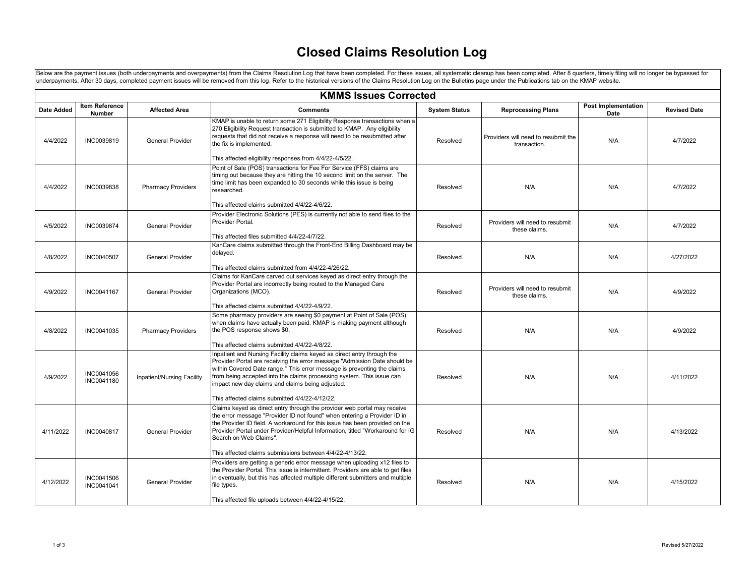## **Closed Claims Resolution Log**

Below are the payment issues (both underpayments and overpayments) from the Claims Resolution Log that have been completed. For these issues, all systematic cleanup has been completed. After 8 quarters, timely filing will underpayments. After 30 days, completed payment issues will be removed from this log. Refer to the historical versions of the Claims Resolution Log on the Bulletins page under the Publications tab on the KMAP website.

| <b>KMMS Issues Corrected</b> |                                 |                            |                                                                                                                                                                                                                                                                                                                                                                                                                |                      |                                                     |                                    |                     |
|------------------------------|---------------------------------|----------------------------|----------------------------------------------------------------------------------------------------------------------------------------------------------------------------------------------------------------------------------------------------------------------------------------------------------------------------------------------------------------------------------------------------------------|----------------------|-----------------------------------------------------|------------------------------------|---------------------|
| <b>Date Added</b>            | Item Reference<br><b>Number</b> | <b>Affected Area</b>       | <b>Comments</b>                                                                                                                                                                                                                                                                                                                                                                                                | <b>System Status</b> | <b>Reprocessing Plans</b>                           | <b>Post Implementation</b><br>Date | <b>Revised Date</b> |
| 4/4/2022                     | INC0039819                      | <b>General Provider</b>    | KMAP is unable to return some 271 Eligibility Response transactions when a<br>270 Eligibility Request transaction is submitted to KMAP. Any eligibility<br>requests that did not receive a response will need to be resubmitted after<br>the fix is implemented.<br>This affected eligibility responses from 4/4/22-4/5/22.                                                                                    | Resolved             | Providers will need to resubmit the<br>transaction. | N/A                                | 4/7/2022            |
| 4/4/2022                     | INC0039838                      | <b>Pharmacy Providers</b>  | Point of Sale (POS) transactions for Fee For Service (FFS) claims are<br>timing out because they are hitting the 10 second limit on the server. The<br>time limit has been expanded to 30 seconds while this issue is being<br>researched.<br>This affected claims submitted 4/4/22-4/6/22.                                                                                                                    | Resolved             | N/A                                                 | N/A                                | 4/7/2022            |
| 4/5/2022                     | INC0039874                      | <b>General Provider</b>    | Provider Electronic Solutions (PES) is currently not able to send files to the<br>Provider Portal.<br>This affected files submitted 4/4/22-4/7/22.                                                                                                                                                                                                                                                             | Resolved             | Providers will need to resubmit<br>these claims.    | N/A                                | 4/7/2022            |
| 4/8/2022                     | INC0040507                      | <b>General Provider</b>    | KanCare claims submitted through the Front-End Billing Dashboard may be<br>delayed.<br>This affected claims submitted from 4/4/22-4/26/22.                                                                                                                                                                                                                                                                     | Resolved             | N/A                                                 | N/A                                | 4/27/2022           |
| 4/9/2022                     | INC0041167                      | <b>General Provider</b>    | Claims for KanCare carved out services keyed as direct entry through the<br>Provider Portal are incorrectly being routed to the Managed Care<br>Organizations (MCO).<br>This affected claims submitted 4/4/22-4/9/22.                                                                                                                                                                                          | Resolved             | Providers will need to resubmit<br>these claims.    | N/A                                | 4/9/2022            |
| 4/8/2022                     | INC0041035                      | <b>Pharmacy Providers</b>  | Some pharmacy providers are seeing \$0 payment at Point of Sale (POS)<br>when claims have actually been paid. KMAP is making payment although<br>the POS response shows \$0.<br>This affected claims submitted 4/4/22-4/8/22.                                                                                                                                                                                  | Resolved             | N/A                                                 | N/A                                | 4/9/2022            |
| 4/9/2022                     | INC0041056<br>INC0041180        | Inpatient/Nursing Facility | Inpatient and Nursing Facility claims keyed as direct entry through the<br>Provider Portal are receiving the error message "Admission Date should be<br>within Covered Date range." This error message is preventing the claims<br>from being accepted into the claims processing system. This issue can<br>impact new day claims and claims being adjusted.<br>This affected claims submitted 4/4/22-4/12/22. | Resolved             | N/A                                                 | N/A                                | 4/11/2022           |
| 4/11/2022                    | INC0040817                      | <b>General Provider</b>    | Claims keyed as direct entry through the provider web portal may receive<br>the error message "Provider ID not found" when entering a Provider ID in<br>the Provider ID field. A workaround for this issue has been provided on the<br>Provider Portal under Provider/Helpful Information, titled "Workaround for IG<br>Search on Web Claims".<br>This affected claims submissions between 4/4/22-4/13/22.     | Resolved             | N/A                                                 | N/A                                | 4/13/2022           |
| 4/12/2022                    | INC0041506<br>INC0041041        | <b>General Provider</b>    | Providers are getting a generic error message when uploading x12 files to<br>the Provider Portal. This issue is intermittent. Providers are able to get files<br>in eventually, but this has affected multiple different submitters and multiple<br>file types.<br>This affected file uploads between 4/4/22-4/15/22.                                                                                          | Resolved             | N/A                                                 | N/A                                | 4/15/2022           |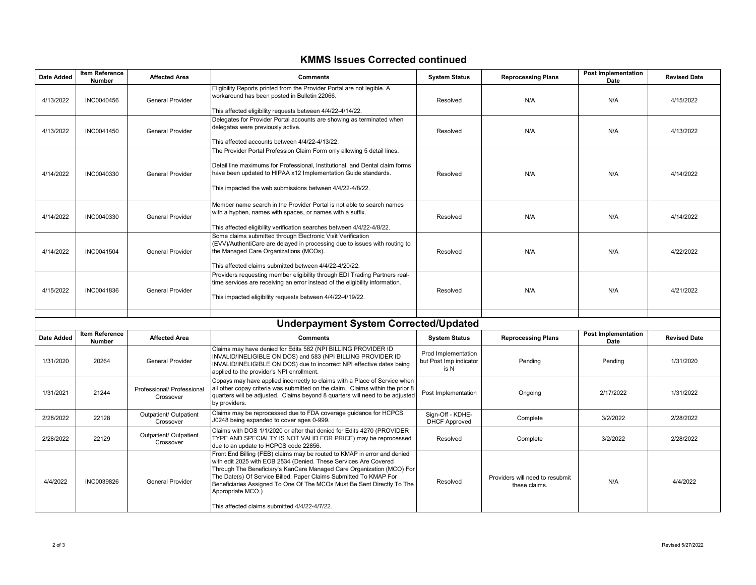## **KMMS Issues Corrected continued**

| <b>Date Added</b> | <b>Item Reference</b><br><b>Number</b> | <b>Affected Area</b>                    | <b>Comments</b>                                                                                                                                                                                                                                                                                                                                                                                                                            | <b>System Status</b>                                  | <b>Reprocessing Plans</b>                        | <b>Post Implementation</b><br>Date | <b>Revised Date</b> |
|-------------------|----------------------------------------|-----------------------------------------|--------------------------------------------------------------------------------------------------------------------------------------------------------------------------------------------------------------------------------------------------------------------------------------------------------------------------------------------------------------------------------------------------------------------------------------------|-------------------------------------------------------|--------------------------------------------------|------------------------------------|---------------------|
| 4/13/2022         | INC0040456                             | General Provider                        | Eligibility Reports printed from the Provider Portal are not legible. A<br>workaround has been posted in Bulletin 22066.<br>This affected eligibility requests between 4/4/22-4/14/22.                                                                                                                                                                                                                                                     | Resolved                                              | N/A                                              | N/A                                | 4/15/2022           |
| 4/13/2022         | INC0041450                             | <b>General Provider</b>                 | Delegates for Provider Portal accounts are showing as terminated when<br>delegates were previously active.<br>This affected accounts between 4/4/22-4/13/22.                                                                                                                                                                                                                                                                               | Resolved                                              | N/A                                              | N/A                                | 4/13/2022           |
| 4/14/2022         | INC0040330                             | <b>General Provider</b>                 | The Provider Portal Profession Claim Form only allowing 5 detail lines.<br>Detail line maximums for Professional, Institutional, and Dental claim forms<br>have been updated to HIPAA x12 Implementation Guide standards.<br>This impacted the web submissions between 4/4/22-4/8/22.                                                                                                                                                      | Resolved                                              | N/A                                              | N/A                                | 4/14/2022           |
| 4/14/2022         | INC0040330                             | <b>General Provider</b>                 | Member name search in the Provider Portal is not able to search names<br>with a hyphen, names with spaces, or names with a suffix.<br>This affected eligibility verification searches between 4/4/22-4/8/22.                                                                                                                                                                                                                               | Resolved                                              | N/A                                              | N/A                                | 4/14/2022           |
| 4/14/2022         | INC0041504                             | General Provider                        | Some claims submitted through Electronic Visit Verification<br>(EVV)/AuthentiCare are delayed in processing due to issues with routing to<br>the Managed Care Organizations (MCOs).<br>This affected claims submitted between 4/4/22-4/20/22.                                                                                                                                                                                              | Resolved                                              | N/A                                              | N/A                                | 4/22/2022           |
| 4/15/2022         | INC0041836                             | <b>General Provider</b>                 | Providers requesting member eligibility through EDI Trading Partners real-<br>time services are receiving an error instead of the eligibility information.<br>This impacted eligibility requests between 4/4/22-4/19/22.                                                                                                                                                                                                                   | Resolved                                              | N/A                                              | N/A                                | 4/21/2022           |
|                   |                                        |                                         | <b>Underpayment System Corrected/Updated</b>                                                                                                                                                                                                                                                                                                                                                                                               |                                                       |                                                  |                                    |                     |
| <b>Date Added</b> | <b>Item Reference</b><br>Number        | <b>Affected Area</b>                    | <b>Comments</b>                                                                                                                                                                                                                                                                                                                                                                                                                            | <b>System Status</b>                                  | <b>Reprocessing Plans</b>                        | <b>Post Implementation</b><br>Date | <b>Revised Date</b> |
| 1/31/2020         | 20264                                  | <b>General Provider</b>                 | Claims may have denied for Edits 582 (NPI BILLING PROVIDER ID<br>INVALID/INELIGIBLE ON DOS) and 583 (NPI BILLING PROVIDER ID<br>INVALID/INELIGIBLE ON DOS) due to incorrect NPI effective dates being<br>applied to the provider's NPI enrollment.                                                                                                                                                                                         | Prod Implementation<br>but Post Imp indicator<br>is N | Pending                                          | Pending                            | 1/31/2020           |
| 1/31/2021         | 21244                                  | Professional/ Professional<br>Crossover | Copays may have applied incorrectly to claims with a Place of Service when<br>all other copay criteria was submitted on the claim. Claims within the prior 8<br>quarters will be adjusted. Claims beyond 8 quarters will need to be adjusted<br>by providers.                                                                                                                                                                              | Post Implementation                                   | Ongoing                                          | 2/17/2022                          | 1/31/2022           |
| 2/28/2022         | 22128                                  | Outpatient/ Outpatient<br>Crossover     | Claims may be reprocessed due to FDA coverage guidance for HCPCS<br>J0248 being expanded to cover ages 0-999.                                                                                                                                                                                                                                                                                                                              | Sign-Off - KDHE-<br><b>DHCF Approved</b>              | Complete                                         | 3/2/2022                           | 2/28/2022           |
| 2/28/2022         | 22129                                  | Outpatient/ Outpatient<br>Crossover     | Claims with DOS 1/1/2020 or after that denied for Edits 4270 (PROVIDER<br>TYPE AND SPECIALTY IS NOT VALID FOR PRICE) may be reprocessed<br>due to an update to HCPCS code 22856.                                                                                                                                                                                                                                                           | Resolved                                              | Complete                                         | 3/2/2022                           | 2/28/2022           |
| 4/4/2022          | INC0039826                             | <b>General Provider</b>                 | Front End Billing (FEB) claims may be routed to KMAP in error and denied<br>with edit 2025 with EOB 2534 (Denied. These Services Are Covered<br>Through The Beneficiary's KanCare Managed Care Organization (MCO) For<br>The Date(s) Of Service Billed. Paper Claims Submitted To KMAP For<br>Beneficiaries Assigned To One Of The MCOs Must Be Sent Directly To The<br>Appropriate MCO.)<br>This affected claims submitted 4/4/22-4/7/22. | Resolved                                              | Providers will need to resubmit<br>these claims. | N/A                                | 4/4/2022            |